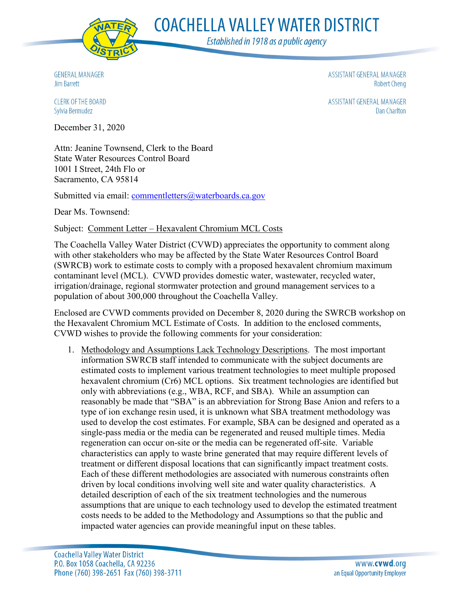

**COACHELLA VALLEY WATER DISTRICT** 

Established in 1918 as a public agency

**GENERAL MANAGER Jim Barrett** 

ASSISTANT GENERAL MANAGER **Robert Cheng** 

ASSISTANT GENERAL MANAGER **Dan Charlton** 

**CLERK OF THE BOARD** Sylvia Bermudez

December 31, 2020

Attn: Jeanine Townsend, Clerk to the Board State Water Resources Control Board 1001 I Street, 24th Flo or Sacramento, CA 95814

Submitted via email: [commentletters@waterboards.ca.gov](mailto:commentletters@waterboards.ca.gov)

Dear Ms. Townsend:

## Subject: Comment Letter – Hexavalent Chromium MCL Costs

The Coachella Valley Water District (CVWD) appreciates the opportunity to comment along with other stakeholders who may be affected by the State Water Resources Control Board (SWRCB) work to estimate costs to comply with a proposed hexavalent chromium maximum contaminant level (MCL). CVWD provides domestic water, wastewater, recycled water, irrigation/drainage, regional stormwater protection and ground management services to a population of about 300,000 throughout the Coachella Valley.

Enclosed are CVWD comments provided on December 8, 2020 during the SWRCB workshop on the Hexavalent Chromium MCL Estimate of Costs. In addition to the enclosed comments, CVWD wishes to provide the following comments for your consideration:

1. Methodology and Assumptions Lack Technology Descriptions. The most important information SWRCB staff intended to communicate with the subject documents are estimated costs to implement various treatment technologies to meet multiple proposed hexavalent chromium (Cr6) MCL options. Six treatment technologies are identified but only with abbreviations (e.g., WBA, RCF, and SBA). While an assumption can reasonably be made that "SBA" is an abbreviation for Strong Base Anion and refers to a type of ion exchange resin used, it is unknown what SBA treatment methodology was used to develop the cost estimates. For example, SBA can be designed and operated as a single-pass media or the media can be regenerated and reused multiple times. Media regeneration can occur on-site or the media can be regenerated off-site. Variable characteristics can apply to waste brine generated that may require different levels of treatment or different disposal locations that can significantly impact treatment costs. Each of these different methodologies are associated with numerous constraints often driven by local conditions involving well site and water quality characteristics. A detailed description of each of the six treatment technologies and the numerous assumptions that are unique to each technology used to develop the estimated treatment costs needs to be added to the Methodology and Assumptions so that the public and impacted water agencies can provide meaningful input on these tables.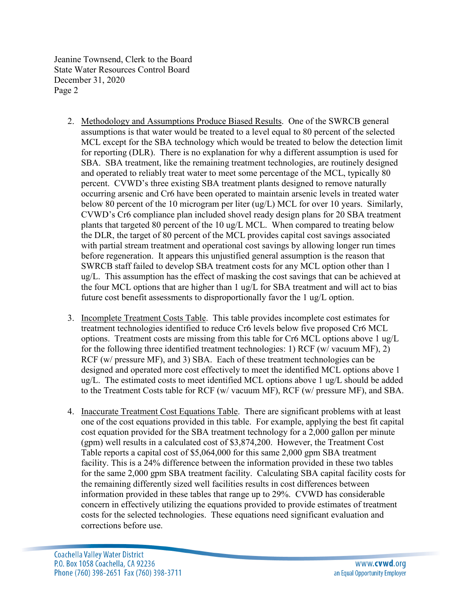Jeanine Townsend, Clerk to the Board State Water Resources Control Board December 31, 2020 Page 2

- 2. Methodology and Assumptions Produce Biased Results. One of the SWRCB general assumptions is that water would be treated to a level equal to 80 percent of the selected MCL except for the SBA technology which would be treated to below the detection limit for reporting (DLR). There is no explanation for why a different assumption is used for SBA. SBA treatment, like the remaining treatment technologies, are routinely designed and operated to reliably treat water to meet some percentage of the MCL, typically 80 percent. CVWD's three existing SBA treatment plants designed to remove naturally occurring arsenic and Cr6 have been operated to maintain arsenic levels in treated water below 80 percent of the 10 microgram per liter (ug/L) MCL for over 10 years. Similarly, CVWD's Cr6 compliance plan included shovel ready design plans for 20 SBA treatment plants that targeted 80 percent of the 10 ug/L MCL. When compared to treating below the DLR, the target of 80 percent of the MCL provides capital cost savings associated with partial stream treatment and operational cost savings by allowing longer run times before regeneration. It appears this unjustified general assumption is the reason that SWRCB staff failed to develop SBA treatment costs for any MCL option other than 1 ug/L. This assumption has the effect of masking the cost savings that can be achieved at the four MCL options that are higher than 1 ug/L for SBA treatment and will act to bias future cost benefit assessments to disproportionally favor the 1 ug/L option.
- 3. Incomplete Treatment Costs Table. This table provides incomplete cost estimates for treatment technologies identified to reduce Cr6 levels below five proposed Cr6 MCL options. Treatment costs are missing from this table for Cr6 MCL options above 1 ug/L for the following three identified treatment technologies: 1) RCF (w/ vacuum MF), 2) RCF (w/ pressure MF), and 3) SBA. Each of these treatment technologies can be designed and operated more cost effectively to meet the identified MCL options above 1 ug/L. The estimated costs to meet identified MCL options above 1 ug/L should be added to the Treatment Costs table for RCF (w/ vacuum MF), RCF (w/ pressure MF), and SBA.
- 4. Inaccurate Treatment Cost Equations Table. There are significant problems with at least one of the cost equations provided in this table. For example, applying the best fit capital cost equation provided for the SBA treatment technology for a 2,000 gallon per minute (gpm) well results in a calculated cost of \$3,874,200. However, the Treatment Cost Table reports a capital cost of \$5,064,000 for this same 2,000 gpm SBA treatment facility. This is a 24% difference between the information provided in these two tables for the same 2,000 gpm SBA treatment facility. Calculating SBA capital facility costs for the remaining differently sized well facilities results in cost differences between information provided in these tables that range up to 29%. CVWD has considerable concern in effectively utilizing the equations provided to provide estimates of treatment costs for the selected technologies. These equations need significant evaluation and corrections before use.